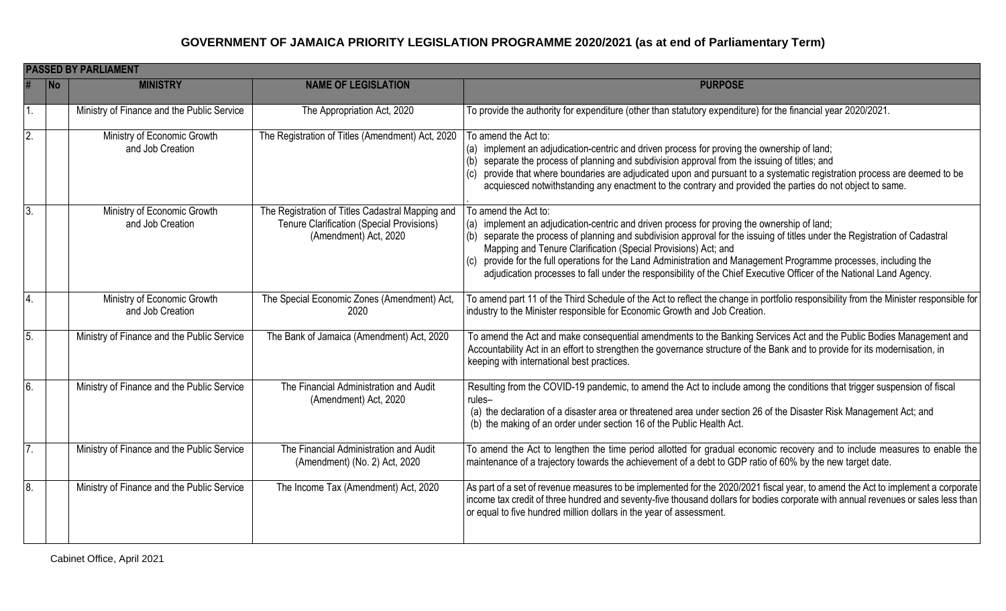|                  | <b>PASSED BY PARLIAMENT</b> |                                                 |                                                                                                                        |                                                                                                                                                                                                                                                                                                                                                                                                                                                                                                                                                                  |  |  |
|------------------|-----------------------------|-------------------------------------------------|------------------------------------------------------------------------------------------------------------------------|------------------------------------------------------------------------------------------------------------------------------------------------------------------------------------------------------------------------------------------------------------------------------------------------------------------------------------------------------------------------------------------------------------------------------------------------------------------------------------------------------------------------------------------------------------------|--|--|
|                  | <b>No</b>                   | <b>MINISTRY</b>                                 | <b>NAME OF LEGISLATION</b>                                                                                             | <b>PURPOSE</b>                                                                                                                                                                                                                                                                                                                                                                                                                                                                                                                                                   |  |  |
|                  |                             | Ministry of Finance and the Public Service      | The Appropriation Act, 2020                                                                                            | To provide the authority for expenditure (other than statutory expenditure) for the financial year 2020/2021.                                                                                                                                                                                                                                                                                                                                                                                                                                                    |  |  |
| $\overline{2}$ . |                             | Ministry of Economic Growth<br>and Job Creation | The Registration of Titles (Amendment) Act, 2020                                                                       | To amend the Act to:<br>(a) implement an adjudication-centric and driven process for proving the ownership of land;<br>separate the process of planning and subdivision approval from the issuing of titles; and<br>(b)<br>provide that where boundaries are adjudicated upon and pursuant to a systematic registration process are deemed to be<br>acquiesced notwithstanding any enactment to the contrary and provided the parties do not object to same.                                                                                                     |  |  |
| $\overline{3}$ . |                             | Ministry of Economic Growth<br>and Job Creation | The Registration of Titles Cadastral Mapping and<br>Tenure Clarification (Special Provisions)<br>(Amendment) Act, 2020 | To amend the Act to:<br>(a) implement an adjudication-centric and driven process for proving the ownership of land;<br>(b) separate the process of planning and subdivision approval for the issuing of titles under the Registration of Cadastral<br>Mapping and Tenure Clarification (Special Provisions) Act; and<br>(c) provide for the full operations for the Land Administration and Management Programme processes, including the<br>adjudication processes to fall under the responsibility of the Chief Executive Officer of the National Land Agency. |  |  |
| 4.               |                             | Ministry of Economic Growth<br>and Job Creation | The Special Economic Zones (Amendment) Act,<br>2020                                                                    | To amend part 11 of the Third Schedule of the Act to reflect the change in portfolio responsibility from the Minister responsible for<br>industry to the Minister responsible for Economic Growth and Job Creation.                                                                                                                                                                                                                                                                                                                                              |  |  |
| 5.               |                             | Ministry of Finance and the Public Service      | The Bank of Jamaica (Amendment) Act, 2020                                                                              | To amend the Act and make consequential amendments to the Banking Services Act and the Public Bodies Management and<br>Accountability Act in an effort to strengthen the governance structure of the Bank and to provide for its modernisation, in<br>keeping with international best practices.                                                                                                                                                                                                                                                                 |  |  |
| 6.               |                             | Ministry of Finance and the Public Service      | The Financial Administration and Audit<br>(Amendment) Act, 2020                                                        | Resulting from the COVID-19 pandemic, to amend the Act to include among the conditions that trigger suspension of fiscal<br>rules-<br>(a) the declaration of a disaster area or threatened area under section 26 of the Disaster Risk Management Act; and<br>(b) the making of an order under section 16 of the Public Health Act.                                                                                                                                                                                                                               |  |  |
| 7.               |                             | Ministry of Finance and the Public Service      | The Financial Administration and Audit<br>(Amendment) (No. 2) Act, 2020                                                | To amend the Act to lengthen the time period allotted for gradual economic recovery and to include measures to enable the<br>maintenance of a trajectory towards the achievement of a debt to GDP ratio of 60% by the new target date.                                                                                                                                                                                                                                                                                                                           |  |  |
| $\overline{8}$ . |                             | Ministry of Finance and the Public Service      | The Income Tax (Amendment) Act, 2020                                                                                   | As part of a set of revenue measures to be implemented for the 2020/2021 fiscal year, to amend the Act to implement a corporate<br>income tax credit of three hundred and seventy-five thousand dollars for bodies corporate with annual revenues or sales less than<br>or equal to five hundred million dollars in the year of assessment.                                                                                                                                                                                                                      |  |  |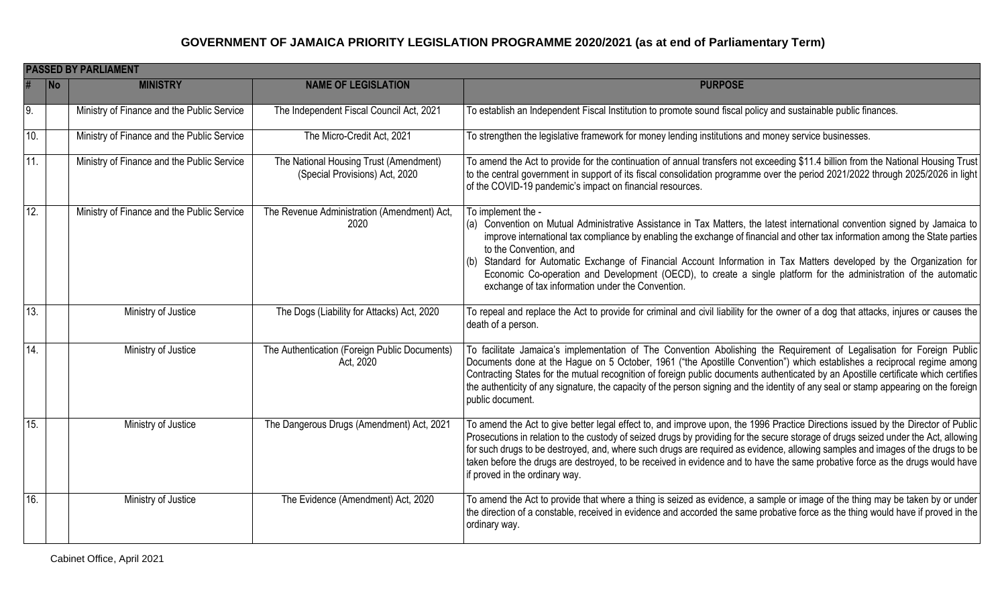|     | <b>PASSED BY PARLIAMENT</b> |                                            |                                                                          |                                                                                                                                                                                                                                                                                                                                                                                                                                                                                                                                                                                                            |  |  |  |
|-----|-----------------------------|--------------------------------------------|--------------------------------------------------------------------------|------------------------------------------------------------------------------------------------------------------------------------------------------------------------------------------------------------------------------------------------------------------------------------------------------------------------------------------------------------------------------------------------------------------------------------------------------------------------------------------------------------------------------------------------------------------------------------------------------------|--|--|--|
|     | <b>No</b>                   | <b>MINISTRY</b>                            | <b>NAME OF LEGISLATION</b>                                               | <b>PURPOSE</b>                                                                                                                                                                                                                                                                                                                                                                                                                                                                                                                                                                                             |  |  |  |
| 9.  |                             | Ministry of Finance and the Public Service | The Independent Fiscal Council Act, 2021                                 | To establish an Independent Fiscal Institution to promote sound fiscal policy and sustainable public finances.                                                                                                                                                                                                                                                                                                                                                                                                                                                                                             |  |  |  |
| 10. |                             | Ministry of Finance and the Public Service | The Micro-Credit Act, 2021                                               | To strengthen the legislative framework for money lending institutions and money service businesses.                                                                                                                                                                                                                                                                                                                                                                                                                                                                                                       |  |  |  |
| 11. |                             | Ministry of Finance and the Public Service | The National Housing Trust (Amendment)<br>(Special Provisions) Act, 2020 | To amend the Act to provide for the continuation of annual transfers not exceeding \$11.4 billion from the National Housing Trust<br>to the central government in support of its fiscal consolidation programme over the period 2021/2022 through 2025/2026 in light<br>of the COVID-19 pandemic's impact on financial resources.                                                                                                                                                                                                                                                                          |  |  |  |
| 12. |                             | Ministry of Finance and the Public Service | The Revenue Administration (Amendment) Act,<br>2020                      | To implement the -<br>(a) Convention on Mutual Administrative Assistance in Tax Matters, the latest international convention signed by Jamaica to<br>improve international tax compliance by enabling the exchange of financial and other tax information among the State parties<br>to the Convention, and<br>Standard for Automatic Exchange of Financial Account Information in Tax Matters developed by the Organization for<br>Economic Co-operation and Development (OECD), to create a single platform for the administration of the automatic<br>exchange of tax information under the Convention. |  |  |  |
| 13. |                             | Ministry of Justice                        | The Dogs (Liability for Attacks) Act, 2020                               | To repeal and replace the Act to provide for criminal and civil liability for the owner of a dog that attacks, injures or causes the<br>death of a person.                                                                                                                                                                                                                                                                                                                                                                                                                                                 |  |  |  |
| 14. |                             | Ministry of Justice                        | The Authentication (Foreign Public Documents)<br>Act, 2020               | To facilitate Jamaica's implementation of The Convention Abolishing the Requirement of Legalisation for Foreign Public<br>Documents done at the Hague on 5 October, 1961 ("the Apostille Convention") which establishes a reciprocal regime among<br>Contracting States for the mutual recognition of foreign public documents authenticated by an Apostille certificate which certifies<br>the authenticity of any signature, the capacity of the person signing and the identity of any seal or stamp appearing on the foreign<br>public document.                                                       |  |  |  |
| 15. |                             | Ministry of Justice                        | The Dangerous Drugs (Amendment) Act, 2021                                | To amend the Act to give better legal effect to, and improve upon, the 1996 Practice Directions issued by the Director of Public<br>Prosecutions in relation to the custody of seized drugs by providing for the secure storage of drugs seized under the Act, allowing<br>for such drugs to be destroyed, and, where such drugs are required as evidence, allowing samples and images of the drugs to be<br>taken before the drugs are destroyed, to be received in evidence and to have the same probative force as the drugs would have<br>if proved in the ordinary way.                               |  |  |  |
| 16. |                             | Ministry of Justice                        | The Evidence (Amendment) Act, 2020                                       | To amend the Act to provide that where a thing is seized as evidence, a sample or image of the thing may be taken by or under<br>the direction of a constable, received in evidence and accorded the same probative force as the thing would have if proved in the<br>ordinary way.                                                                                                                                                                                                                                                                                                                        |  |  |  |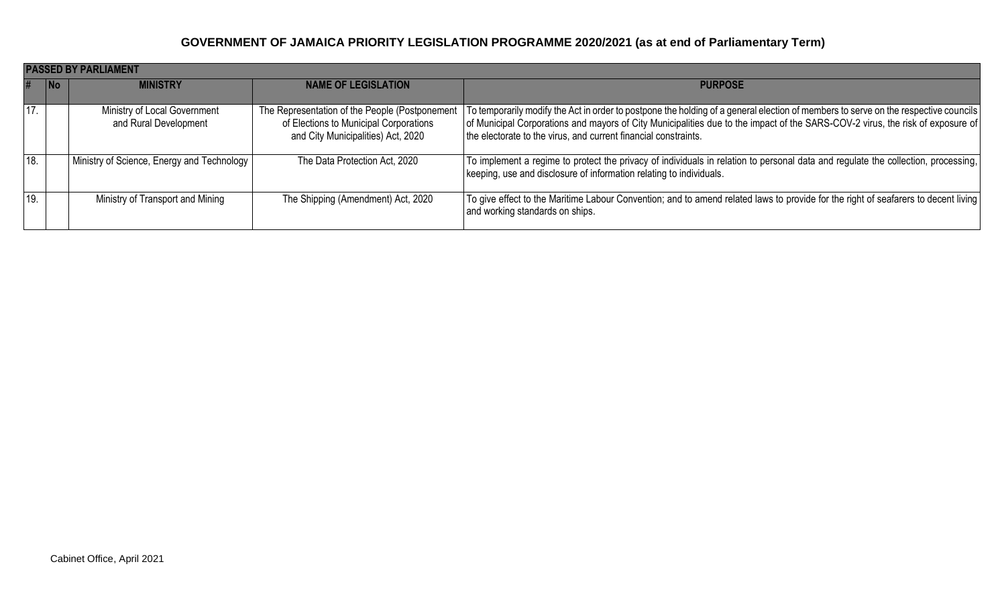|     | <b>PASSED BY PARLIAMENT</b> |                                                       |                                                                                                                                |                                                                                                                                                                                                                                                                                                                                          |  |  |
|-----|-----------------------------|-------------------------------------------------------|--------------------------------------------------------------------------------------------------------------------------------|------------------------------------------------------------------------------------------------------------------------------------------------------------------------------------------------------------------------------------------------------------------------------------------------------------------------------------------|--|--|
| #   | <b>No</b>                   | <b>MINISTRY</b>                                       | <b>NAME OF LEGISLATION</b>                                                                                                     | <b>PURPOSE</b>                                                                                                                                                                                                                                                                                                                           |  |  |
|     |                             |                                                       |                                                                                                                                |                                                                                                                                                                                                                                                                                                                                          |  |  |
| 17. |                             | Ministry of Local Government<br>and Rural Development | The Representation of the People (Postponement<br>of Elections to Municipal Corporations<br>and City Municipalities) Act, 2020 | To temporarily modify the Act in order to postpone the holding of a general election of members to serve on the respective councils<br>of Municipal Corporations and mayors of City Municipalities due to the impact of the SARS-COV-2 virus, the risk of exposure of<br>the electorate to the virus, and current financial constraints. |  |  |
| 18. |                             | Ministry of Science, Energy and Technology            | The Data Protection Act, 2020                                                                                                  | To implement a regime to protect the privacy of individuals in relation to personal data and regulate the collection, processing,<br>keeping, use and disclosure of information relating to individuals.                                                                                                                                 |  |  |
| 19. |                             | Ministry of Transport and Mining                      | The Shipping (Amendment) Act, 2020                                                                                             | To give effect to the Maritime Labour Convention; and to amend related laws to provide for the right of seafarers to decent living<br>and working standards on ships.                                                                                                                                                                    |  |  |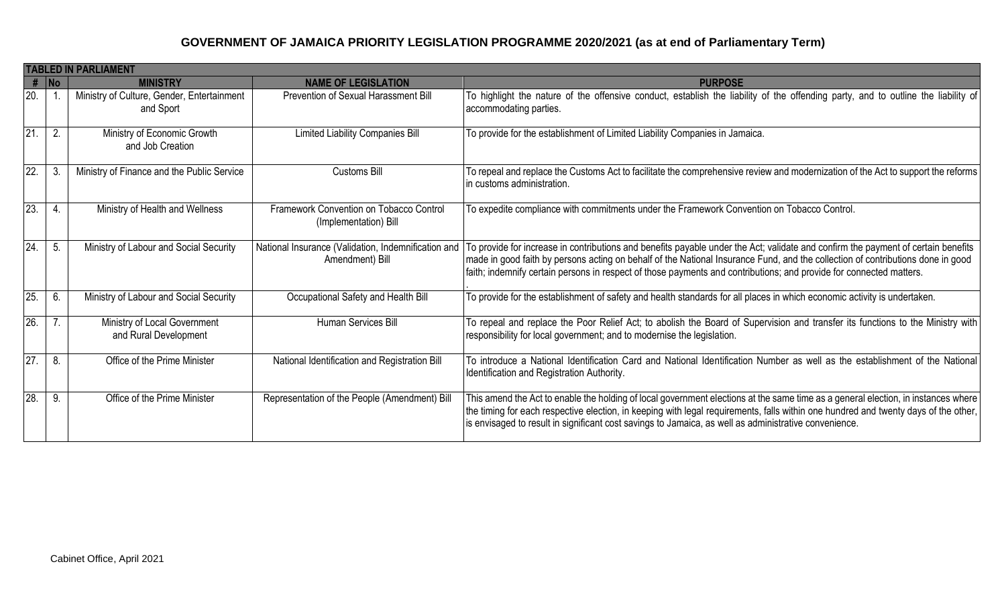|                 | <b>TABLED IN PARLIAMENT</b> |                                                         |                                                                        |                                                                                                                                                                                                                                                                                                                                                                                             |  |  |
|-----------------|-----------------------------|---------------------------------------------------------|------------------------------------------------------------------------|---------------------------------------------------------------------------------------------------------------------------------------------------------------------------------------------------------------------------------------------------------------------------------------------------------------------------------------------------------------------------------------------|--|--|
|                 | $#$ No                      | <b>MINISTRY</b>                                         | <b>NAME OF LEGISLATION</b>                                             | <b>PURPOSE</b>                                                                                                                                                                                                                                                                                                                                                                              |  |  |
| 20.             |                             | Ministry of Culture, Gender, Entertainment<br>and Sport | Prevention of Sexual Harassment Bill                                   | To highlight the nature of the offensive conduct, establish the liability of the offending party, and to outline the liability of<br>accommodating parties.                                                                                                                                                                                                                                 |  |  |
| 21              | 2.                          | Ministry of Economic Growth<br>and Job Creation         | Limited Liability Companies Bill                                       | To provide for the establishment of Limited Liability Companies in Jamaica.                                                                                                                                                                                                                                                                                                                 |  |  |
| 22.             | 3                           | Ministry of Finance and the Public Service              | <b>Customs Bill</b>                                                    | To repeal and replace the Customs Act to facilitate the comprehensive review and modernization of the Act to support the reforms<br>in customs administration.                                                                                                                                                                                                                              |  |  |
| 23.             | 4.                          | Ministry of Health and Wellness                         | Framework Convention on Tobacco Control<br>(Implementation) Bill       | To expedite compliance with commitments under the Framework Convention on Tobacco Control.                                                                                                                                                                                                                                                                                                  |  |  |
| 24.             | 5.                          | Ministry of Labour and Social Security                  | National Insurance (Validation, Indemnification and<br>Amendment) Bill | To provide for increase in contributions and benefits payable under the Act; validate and confirm the payment of certain benefits<br>made in good faith by persons acting on behalf of the National Insurance Fund, and the collection of contributions done in good<br>faith; indemnify certain persons in respect of those payments and contributions; and provide for connected matters. |  |  |
| $\overline{25}$ | 6.                          | Ministry of Labour and Social Security                  | Occupational Safety and Health Bill                                    | To provide for the establishment of safety and health standards for all places in which economic activity is undertaken.                                                                                                                                                                                                                                                                    |  |  |
| 26.             |                             | Ministry of Local Government<br>and Rural Development   | <b>Human Services Bill</b>                                             | To repeal and replace the Poor Relief Act; to abolish the Board of Supervision and transfer its functions to the Ministry with<br>responsibility for local government; and to modernise the legislation.                                                                                                                                                                                    |  |  |
| 27.             | 8.                          | Office of the Prime Minister                            | National Identification and Registration Bill                          | To introduce a National Identification Card and National Identification Number as well as the establishment of the National<br>Identification and Registration Authority.                                                                                                                                                                                                                   |  |  |
| 28.             | 9.                          | Office of the Prime Minister                            | Representation of the People (Amendment) Bill                          | This amend the Act to enable the holding of local government elections at the same time as a general election, in instances where<br>the timing for each respective election, in keeping with legal requirements, falls within one hundred and twenty days of the other,<br>is envisaged to result in significant cost savings to Jamaica, as well as administrative convenience.           |  |  |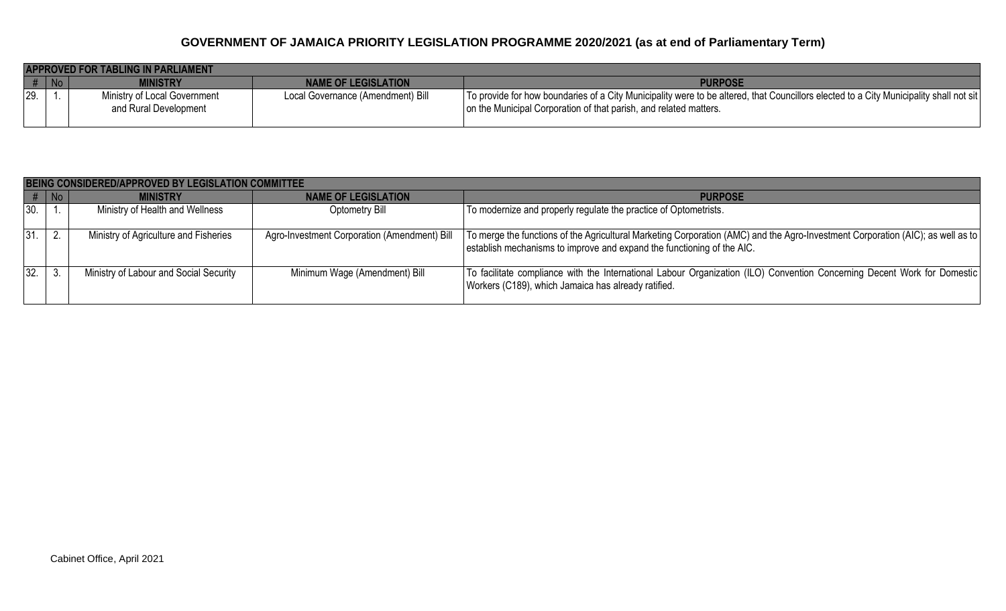|     | APPROVED FOR TABLING IN PARLIAMENT |                                                       |                                   |                                                                                                                                                                                                             |  |  |  |
|-----|------------------------------------|-------------------------------------------------------|-----------------------------------|-------------------------------------------------------------------------------------------------------------------------------------------------------------------------------------------------------------|--|--|--|
|     | $#$ No                             | MINISTRY                                              | NAME OF LEGISLATION               | <b>PURPOSE</b>                                                                                                                                                                                              |  |  |  |
| 29. |                                    | Ministry of Local Government<br>and Rural Development | Local Governance (Amendment) Bill | To provide for how boundaries of a City Municipality were to be altered, that Councillors elected to a City Municipality shall not sit<br>on the Municipal Corporation of that parish, and related matters. |  |  |  |

|        | BEING CONSIDERED/APPROVED BY LEGISLATION COMMITTEE |                                        |                                              |                                                                                                                                                                                                           |  |  |
|--------|----------------------------------------------------|----------------------------------------|----------------------------------------------|-----------------------------------------------------------------------------------------------------------------------------------------------------------------------------------------------------------|--|--|
| $#$ No |                                                    | <b>MINISTRY</b>                        | <b>NAME OF LEGISLATION</b>                   | <b>PURPOSE</b>                                                                                                                                                                                            |  |  |
| 30.    |                                                    | Ministry of Health and Wellness        | Optometry Bill                               | To modernize and properly regulate the practice of Optometrists.                                                                                                                                          |  |  |
| 31.    | <sup>2.</sup>                                      | Ministry of Agriculture and Fisheries  | Agro-Investment Corporation (Amendment) Bill | To merge the functions of the Agricultural Marketing Corporation (AMC) and the Agro-Investment Corporation (AIC); as well as to<br>establish mechanisms to improve and expand the functioning of the AIC. |  |  |
| 32.    |                                                    | Ministry of Labour and Social Security | Minimum Wage (Amendment) Bill                | To facilitate compliance with the International Labour Organization (ILO) Convention Concerning Decent Work for Domestic<br>Workers (C189), which Jamaica has already ratified.                           |  |  |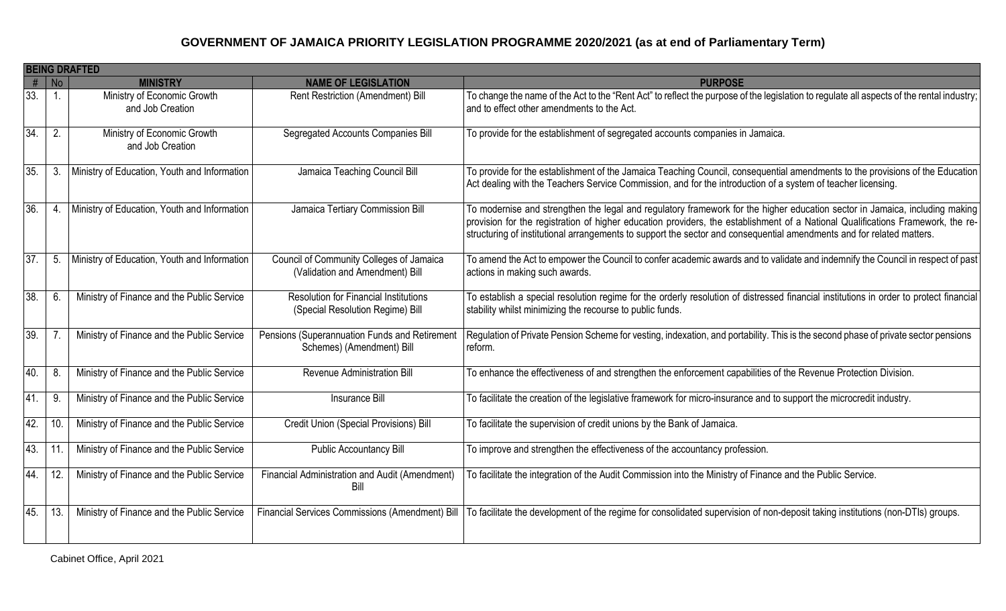|     | <b>BEING DRAFTED</b> |                                                 |                                                                                  |                                                                                                                                                                                                                                                                                                                                                                                         |  |  |
|-----|----------------------|-------------------------------------------------|----------------------------------------------------------------------------------|-----------------------------------------------------------------------------------------------------------------------------------------------------------------------------------------------------------------------------------------------------------------------------------------------------------------------------------------------------------------------------------------|--|--|
| #   | $\vert$ No           | <b>MINISTRY</b>                                 | <b>NAME OF LEGISLATION</b>                                                       | <b>PURPOSE</b>                                                                                                                                                                                                                                                                                                                                                                          |  |  |
| 33. | -1.                  | Ministry of Economic Growth<br>and Job Creation | Rent Restriction (Amendment) Bill                                                | To change the name of the Act to the "Rent Act" to reflect the purpose of the legislation to regulate all aspects of the rental industry;<br>and to effect other amendments to the Act.                                                                                                                                                                                                 |  |  |
| 34. | 2.                   | Ministry of Economic Growth<br>and Job Creation | Segregated Accounts Companies Bill                                               | To provide for the establishment of segregated accounts companies in Jamaica.                                                                                                                                                                                                                                                                                                           |  |  |
| 35. | 3.                   | Ministry of Education, Youth and Information    | Jamaica Teaching Council Bill                                                    | To provide for the establishment of the Jamaica Teaching Council, consequential amendments to the provisions of the Education<br>Act dealing with the Teachers Service Commission, and for the introduction of a system of teacher licensing.                                                                                                                                           |  |  |
| 36. | 4.                   | Ministry of Education, Youth and Information    | Jamaica Tertiary Commission Bill                                                 | To modernise and strengthen the legal and regulatory framework for the higher education sector in Jamaica, including making<br>provision for the registration of higher education providers, the establishment of a National Qualifications Framework, the re-<br>structuring of institutional arrangements to support the sector and consequential amendments and for related matters. |  |  |
| 37. | 5.                   | Ministry of Education, Youth and Information    | Council of Community Colleges of Jamaica<br>(Validation and Amendment) Bill      | To amend the Act to empower the Council to confer academic awards and to validate and indemnify the Council in respect of past<br>actions in making such awards.                                                                                                                                                                                                                        |  |  |
| 38. | 6.                   | Ministry of Finance and the Public Service      | <b>Resolution for Financial Institutions</b><br>(Special Resolution Regime) Bill | To establish a special resolution regime for the orderly resolution of distressed financial institutions in order to protect financial<br>stability whilst minimizing the recourse to public funds.                                                                                                                                                                                     |  |  |
| 39. |                      | Ministry of Finance and the Public Service      | Pensions (Superannuation Funds and Retirement<br>Schemes) (Amendment) Bill       | Regulation of Private Pension Scheme for vesting, indexation, and portability. This is the second phase of private sector pensions<br>reform.                                                                                                                                                                                                                                           |  |  |
| 40. | 8.                   | Ministry of Finance and the Public Service      | Revenue Administration Bill                                                      | To enhance the effectiveness of and strengthen the enforcement capabilities of the Revenue Protection Division.                                                                                                                                                                                                                                                                         |  |  |
| 41. | 9.                   | Ministry of Finance and the Public Service      | <b>Insurance Bill</b>                                                            | To facilitate the creation of the legislative framework for micro-insurance and to support the microcredit industry.                                                                                                                                                                                                                                                                    |  |  |
| 42. | 10                   | Ministry of Finance and the Public Service      | <b>Credit Union (Special Provisions) Bill</b>                                    | To facilitate the supervision of credit unions by the Bank of Jamaica.                                                                                                                                                                                                                                                                                                                  |  |  |
| 43. | 11                   | Ministry of Finance and the Public Service      | <b>Public Accountancy Bill</b>                                                   | To improve and strengthen the effectiveness of the accountancy profession.                                                                                                                                                                                                                                                                                                              |  |  |
| 44. | 12.                  | Ministry of Finance and the Public Service      | Financial Administration and Audit (Amendment)<br>Bill                           | To facilitate the integration of the Audit Commission into the Ministry of Finance and the Public Service.                                                                                                                                                                                                                                                                              |  |  |
| 45. | 13.                  | Ministry of Finance and the Public Service      | Financial Services Commissions (Amendment) Bill                                  | To facilitate the development of the regime for consolidated supervision of non-deposit taking institutions (non-DTIs) groups.                                                                                                                                                                                                                                                          |  |  |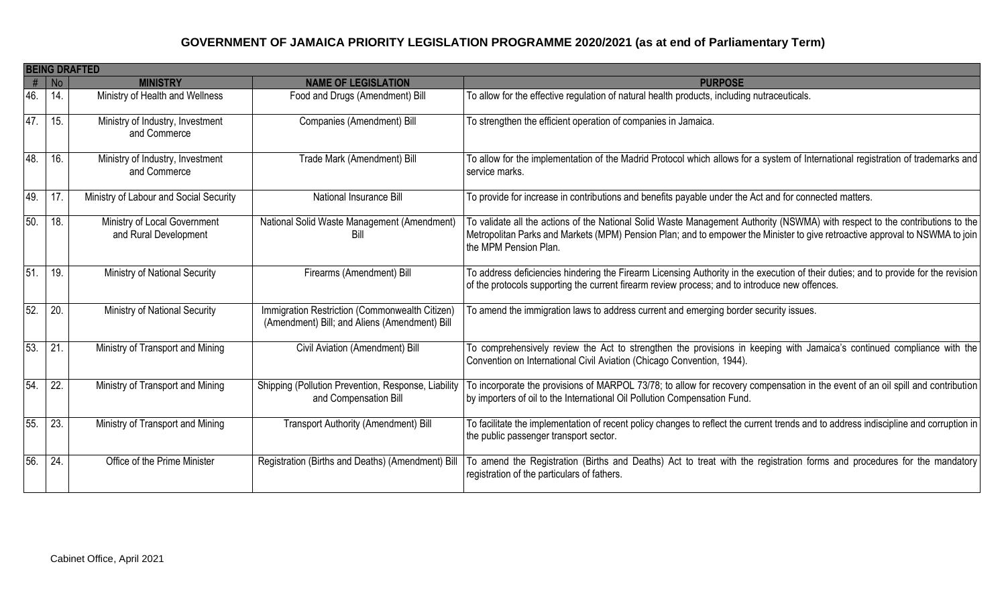|     | <b>BEING DRAFTED</b> |                                                       |                                                                                                 |                                                                                                                                                                                                                                                                                        |  |  |
|-----|----------------------|-------------------------------------------------------|-------------------------------------------------------------------------------------------------|----------------------------------------------------------------------------------------------------------------------------------------------------------------------------------------------------------------------------------------------------------------------------------------|--|--|
| #   | <b>No</b>            | <b>MINISTRY</b>                                       | <b>NAME OF LEGISLATION</b>                                                                      | <b>PURPOSE</b>                                                                                                                                                                                                                                                                         |  |  |
| 46. | 14.                  | Ministry of Health and Wellness                       | Food and Drugs (Amendment) Bill                                                                 | To allow for the effective regulation of natural health products, including nutraceuticals.                                                                                                                                                                                            |  |  |
| 47. | 15.                  | Ministry of Industry, Investment<br>and Commerce      | Companies (Amendment) Bill                                                                      | To strengthen the efficient operation of companies in Jamaica.                                                                                                                                                                                                                         |  |  |
| 48. | 16.                  | Ministry of Industry, Investment<br>and Commerce      | Trade Mark (Amendment) Bill                                                                     | To allow for the implementation of the Madrid Protocol which allows for a system of International registration of trademarks and<br>service marks.                                                                                                                                     |  |  |
| 49. | 17                   | Ministry of Labour and Social Security                | <b>National Insurance Bill</b>                                                                  | To provide for increase in contributions and benefits payable under the Act and for connected matters.                                                                                                                                                                                 |  |  |
| 50. | 18.                  | Ministry of Local Government<br>and Rural Development | National Solid Waste Management (Amendment)<br>Bill                                             | To validate all the actions of the National Solid Waste Management Authority (NSWMA) with respect to the contributions to the<br>Metropolitan Parks and Markets (MPM) Pension Plan; and to empower the Minister to give retroactive approval to NSWMA to join<br>the MPM Pension Plan. |  |  |
| 51. | 19.                  | Ministry of National Security                         | Firearms (Amendment) Bill                                                                       | To address deficiencies hindering the Firearm Licensing Authority in the execution of their duties; and to provide for the revision<br>of the protocols supporting the current firearm review process; and to introduce new offences.                                                  |  |  |
| 52. | 20.                  | Ministry of National Security                         | Immigration Restriction (Commonwealth Citizen)<br>(Amendment) Bill; and Aliens (Amendment) Bill | To amend the immigration laws to address current and emerging border security issues.                                                                                                                                                                                                  |  |  |
| 53. | $\overline{21}$      | Ministry of Transport and Mining                      | Civil Aviation (Amendment) Bill                                                                 | To comprehensively review the Act to strengthen the provisions in keeping with Jamaica's continued compliance with the<br>Convention on International Civil Aviation (Chicago Convention, 1944).                                                                                       |  |  |
| 54. | 22.                  | Ministry of Transport and Mining                      | Shipping (Pollution Prevention, Response, Liability<br>and Compensation Bill                    | To incorporate the provisions of MARPOL 73/78; to allow for recovery compensation in the event of an oil spill and contribution<br>by importers of oil to the International Oil Pollution Compensation Fund.                                                                           |  |  |
| 55. | 23.                  | Ministry of Transport and Mining                      | <b>Transport Authority (Amendment) Bill</b>                                                     | To facilitate the implementation of recent policy changes to reflect the current trends and to address indiscipline and corruption in<br>the public passenger transport sector.                                                                                                        |  |  |
| 56. | 24.                  | Office of the Prime Minister                          | Registration (Births and Deaths) (Amendment) Bill                                               | To amend the Registration (Births and Deaths) Act to treat with the registration forms and procedures for the mandatory<br>registration of the particulars of fathers.                                                                                                                 |  |  |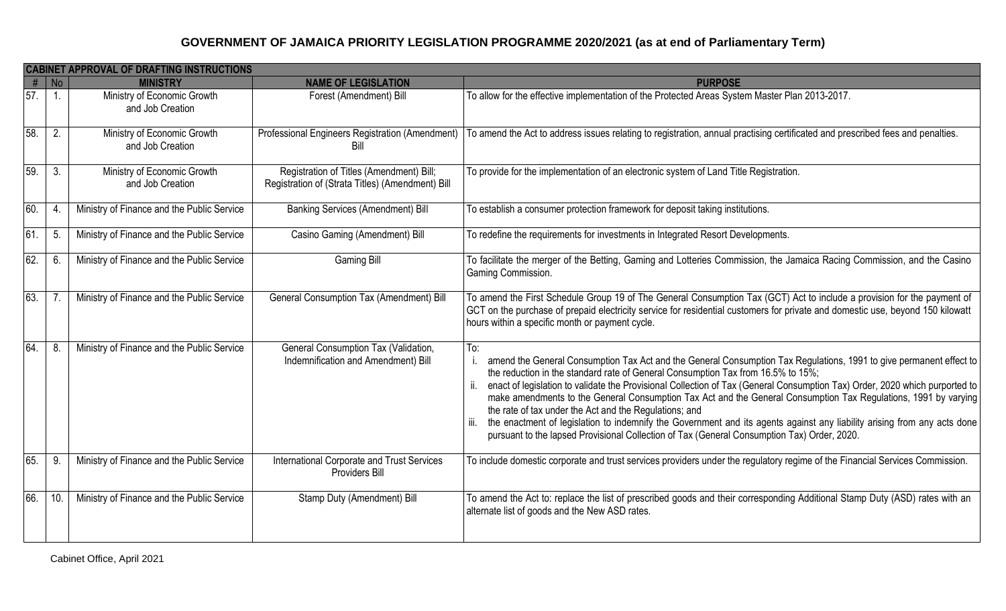|                   |                             | <b>CABINET APPROVAL OF DRAFTING INSTRUCTIONS</b> |                                                                                              |                                                                                                                                                                                                                                                                                                                                                                                                                                                                                                                                                                                                                                                                                                                                                               |
|-------------------|-----------------------------|--------------------------------------------------|----------------------------------------------------------------------------------------------|---------------------------------------------------------------------------------------------------------------------------------------------------------------------------------------------------------------------------------------------------------------------------------------------------------------------------------------------------------------------------------------------------------------------------------------------------------------------------------------------------------------------------------------------------------------------------------------------------------------------------------------------------------------------------------------------------------------------------------------------------------------|
| #                 | $\overline{\phantom{a}}$ No | <b>MINISTRY</b>                                  | <b>NAME OF LEGISLATION</b>                                                                   | <b>PURPOSE</b>                                                                                                                                                                                                                                                                                                                                                                                                                                                                                                                                                                                                                                                                                                                                                |
| $\overline{57}$ . | $\overline{1}$ .            | Ministry of Economic Growth<br>and Job Creation  | Forest (Amendment) Bill                                                                      | To allow for the effective implementation of the Protected Areas System Master Plan 2013-2017.                                                                                                                                                                                                                                                                                                                                                                                                                                                                                                                                                                                                                                                                |
| 58.               | 2.                          | Ministry of Economic Growth<br>and Job Creation  | Professional Engineers Registration (Amendment)<br>Bill                                      | To amend the Act to address issues relating to registration, annual practising certificated and prescribed fees and penalties.                                                                                                                                                                                                                                                                                                                                                                                                                                                                                                                                                                                                                                |
| 59.               | 3.                          | Ministry of Economic Growth<br>and Job Creation  | Registration of Titles (Amendment) Bill;<br>Registration of (Strata Titles) (Amendment) Bill | To provide for the implementation of an electronic system of Land Title Registration.                                                                                                                                                                                                                                                                                                                                                                                                                                                                                                                                                                                                                                                                         |
| 60.               | 4.                          | Ministry of Finance and the Public Service       | <b>Banking Services (Amendment) Bill</b>                                                     | To establish a consumer protection framework for deposit taking institutions.                                                                                                                                                                                                                                                                                                                                                                                                                                                                                                                                                                                                                                                                                 |
| 61.               | 5.                          | Ministry of Finance and the Public Service       | Casino Gaming (Amendment) Bill                                                               | To redefine the requirements for investments in Integrated Resort Developments.                                                                                                                                                                                                                                                                                                                                                                                                                                                                                                                                                                                                                                                                               |
| 62.               | 6.                          | Ministry of Finance and the Public Service       | <b>Gaming Bill</b>                                                                           | To facilitate the merger of the Betting, Gaming and Lotteries Commission, the Jamaica Racing Commission, and the Casino<br>Gaming Commission.                                                                                                                                                                                                                                                                                                                                                                                                                                                                                                                                                                                                                 |
| 63.               |                             | Ministry of Finance and the Public Service       | General Consumption Tax (Amendment) Bill                                                     | To amend the First Schedule Group 19 of The General Consumption Tax (GCT) Act to include a provision for the payment of<br>GCT on the purchase of prepaid electricity service for residential customers for private and domestic use, beyond 150 kilowatt<br>hours within a specific month or payment cycle.                                                                                                                                                                                                                                                                                                                                                                                                                                                  |
| 64.               | 8.                          | Ministry of Finance and the Public Service       | General Consumption Tax (Validation,<br>Indemnification and Amendment) Bill                  | To:<br>amend the General Consumption Tax Act and the General Consumption Tax Regulations, 1991 to give permanent effect to<br>the reduction in the standard rate of General Consumption Tax from 16.5% to 15%;<br>enact of legislation to validate the Provisional Collection of Tax (General Consumption Tax) Order, 2020 which purported to<br>make amendments to the General Consumption Tax Act and the General Consumption Tax Regulations, 1991 by varying<br>the rate of tax under the Act and the Regulations; and<br>the enactment of legislation to indemnify the Government and its agents against any liability arising from any acts done<br>iii.<br>pursuant to the lapsed Provisional Collection of Tax (General Consumption Tax) Order, 2020. |
| 65.               | 9.                          | Ministry of Finance and the Public Service       | International Corporate and Trust Services<br>Providers Bill                                 | To include domestic corporate and trust services providers under the regulatory regime of the Financial Services Commission.                                                                                                                                                                                                                                                                                                                                                                                                                                                                                                                                                                                                                                  |
| 66.               | 10.                         | Ministry of Finance and the Public Service       | Stamp Duty (Amendment) Bill                                                                  | To amend the Act to: replace the list of prescribed goods and their corresponding Additional Stamp Duty (ASD) rates with an<br>alternate list of goods and the New ASD rates.                                                                                                                                                                                                                                                                                                                                                                                                                                                                                                                                                                                 |